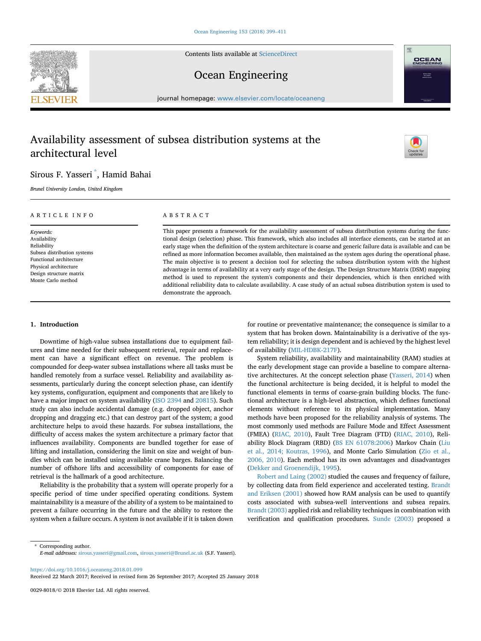Contents lists available at [ScienceDirect](www.sciencedirect.com/science/journal/00298018)

## Ocean Engineering

journal homepage: [www.elsevier.com/locate/oceaneng](http://www.elsevier.com/locate/oceaneng)

# Availability assessment of subsea distribution systems at the architectural level

### Sirous F. Yasseri \* , Hamid Bahai

Brunel University London, United Kingdom

#### ARTICLE INFO

Keywords: Availability Reliability Subsea distribution systems Functional architecture Physical architecture Design structure matrix Monte Carlo method

#### ABSTRACT

This paper presents a framework for the availability assessment of subsea distribution systems during the functional design (selection) phase. This framework, which also includes all interface elements, can be started at an early stage when the definition of the system architecture is coarse and generic failure data is available and can be refined as more information becomes available, then maintained as the system ages during the operational phase. The main objective is to present a decision tool for selecting the subsea distribution system with the highest advantage in terms of availability at a very early stage of the design. The Design Structure Matrix (DSM) mapping method is used to represent the system's components and their dependencies, which is then enriched with additional reliability data to calculate availability. A case study of an actual subsea distribution system is used to demonstrate the approach.

#### 1. Introduction

Downtime of high-value subsea installations due to equipment failures and time needed for their subsequent retrieval, repair and replacement can have a significant effect on revenue. The problem is compounded for deep-water subsea installations where all tasks must be handled remotely from a surface vessel. Reliability and availability assessments, particularly during the concept selection phase, can identify key systems, configuration, equipment and components that are likely to have a major impact on system availability (ISO 2394 and 20815). Such study can also include accidental damage (e.g. dropped object, anchor dropping and dragging etc.) that can destroy part of the system; a good architecture helps to avoid these hazards. For subsea installations, the difficulty of access makes the system architecture a primary factor that influences availability. Components are bundled together for ease of lifting and installation, considering the limit on size and weight of bundles which can be installed using available crane barges. Balancing the number of offshore lifts and accessibility of components for ease of retrieval is the hallmark of a good architecture.

Reliability is the probability that a system will operate properly for a specific period of time under specified operating conditions. System maintainability is a measure of the ability of a system to be maintained to prevent a failure occurring in the future and the ability to restore the system when a failure occurs. A system is not available if it is taken down

for routine or preventative maintenance; the consequence is similar to a system that has broken down. Maintainability is a derivative of the system reliability; it is design dependent and is achieved by the highest level of availability (MIL-HDBK-217F).

System reliability, availability and maintainability (RAM) studies at the early development stage can provide a baseline to compare alternative architectures. At the concept selection phase (Yasseri, 2014) when the functional architecture is being decided, it is helpful to model the functional elements in terms of coarse-grain building blocks. The functional architecture is a high-level abstraction, which defines functional elements without reference to its physical implementation. Many methods have been proposed for the reliability analysis of systems. The most commonly used methods are Failure Mode and Effect Assessment (FMEA) (RIAC, 2010), Fault Tree Diagram (FTD) (RIAC, 2010), Reliability Block Diagram (RBD) (BS EN 61078:2006) Markov Chain (Liu et al., 2014; Koutras, 1996), and Monte Carlo Simulation (Zio et al., 2006, 2010). Each method has its own advantages and disadvantages (Dekker and Groenendijk, 1995).

Robert and Laing (2002) studied the causes and frequency of failure, by collecting data from field experience and accelerated testing. Brandt and Eriksen (2001) showed how RAM analysis can be used to quantify costs associated with subsea-well interventions and subsea repairs. Brandt (2003) applied risk and reliability techniques in combination with verification and qualification procedures. Sunde (2003) proposed a

\* Corresponding author. E-mail addresses: [sirous.yasseri@gmail.com,](mailto:sirous.yasseri@gmail.com) [sirous.yasseri@Brunel.ac.uk](mailto:sirous.yasseri@Brunel.ac.uk) (S.F. Yasseri).

<https://doi.org/10.1016/j.oceaneng.2018.01.099>

Received 22 March 2017; Received in revised form 26 September 2017; Accepted 25 January 2018



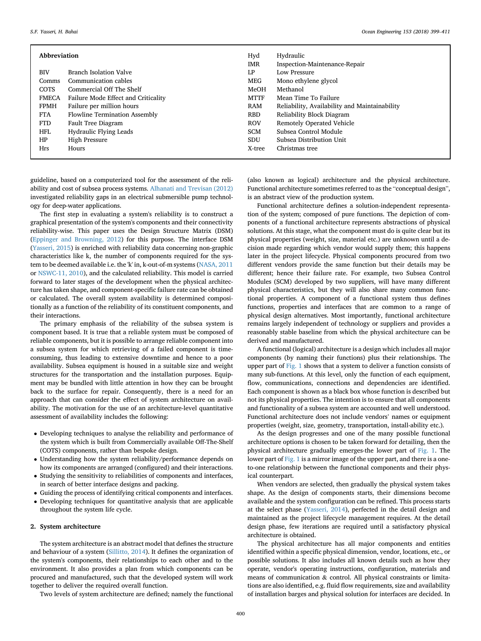| Abbreviation |                                      | Hyd         | Hydraulic                                     |
|--------------|--------------------------------------|-------------|-----------------------------------------------|
|              |                                      | IMR         | Inspection-Maintenance-Repair                 |
| <b>BIV</b>   | Branch Isolation Valve               | LP          | Low Pressure                                  |
| Comms        | Communication cables                 | MEG         | Mono ethylene glycol                          |
| COTS         | Commercial Off The Shelf             | MeOH        | Methanol                                      |
| <b>FMECA</b> | Failure Mode Effect and Criticality  | <b>MTTF</b> | Mean Time To Failure                          |
| <b>FPMH</b>  | Failure per million hours            | RAM         | Reliability, Availability and Maintainability |
| <b>FTA</b>   | <b>Flowline Termination Assembly</b> | <b>RBD</b>  | Reliability Block Diagram                     |
| <b>FTD</b>   | Fault Tree Diagram                   | <b>ROV</b>  | Remotely Operated Vehicle                     |
| <b>HFL</b>   | Hydraulic Flying Leads               | <b>SCM</b>  | Subsea Control Module                         |
| HP           | High Pressure                        | <b>SDU</b>  | Subsea Distribution Unit                      |
| <b>Hrs</b>   | Hours                                | X-tree      | Christmas tree                                |
|              |                                      |             |                                               |

guideline, based on a computerized tool for the assessment of the reliability and cost of subsea process systems. Alhanati and Trevisan (2012) investigated reliability gaps in an electrical submersible pump technology for deep-water applications.

The first step in evaluating a system's reliability is to construct a graphical presentation of the system's components and their connectivity reliability-wise. This paper uses the Design Structure Matrix (DSM) (Eppinger and Browning, 2012) for this purpose. The interface DSM (Yasseri, 2015) is enriched with reliability data concerning non-graphic characteristics like k, the number of components required for the system to be deemed available i.e. the 'k' in, k-out-of-m systems (NASA, 2011 or NSWC-11, 2010), and the calculated reliability. This model is carried forward to later stages of the development when the physical architecture has taken shape, and component-specific failure rate can be obtained or calculated. The overall system availability is determined compositionally as a function of the reliability of its constituent components, and their interactions.

The primary emphasis of the reliability of the subsea system is component based. It is true that a reliable system must be composed of reliable components, but it is possible to arrange reliable component into a subsea system for which retrieving of a failed component is timeconsuming, thus leading to extensive downtime and hence to a poor availability. Subsea equipment is housed in a suitable size and weight structures for the transportation and the installation purposes. Equipment may be bundled with little attention in how they can be brought back to the surface for repair. Consequently, there is a need for an approach that can consider the effect of system architecture on availability. The motivation for the use of an architecture-level quantitative assessment of availability includes the following:

- Developing techniques to analyse the reliability and performance of the system which is built from Commercially available Off-The-Shelf (COTS) components, rather than bespoke design.
- Understanding how the system reliability/performance depends on how its components are arranged (configured) and their interactions.
- Studying the sensitivity to reliabilities of components and interfaces, in search of better interface designs and packing.
- Guiding the process of identifying critical components and interfaces.
- Developing techniques for quantitative analysis that are applicable throughout the system life cycle.

#### 2. System architecture

The system architecture is an abstract model that defines the structure and behaviour of a system (Sillitto, 2014). It defines the organization of the system's components, their relationships to each other and to the environment. It also provides a plan from which components can be procured and manufactured, such that the developed system will work together to deliver the required overall function.

Two levels of system architecture are defined; namely the functional

(also known as logical) architecture and the physical architecture. Functional architecture sometimes referred to as the "conceptual design", is an abstract view of the production system.

Functional architecture defines a solution-independent representation of the system; composed of pure functions. The depiction of components of a functional architecture represents abstractions of physical solutions. At this stage, what the component must do is quite clear but its physical properties (weight, size, material etc.) are unknown until a decision made regarding which vendor would supply them; this happens later in the project lifecycle. Physical components procured from two different vendors provide the same function but their details may be different; hence their failure rate. For example, two Subsea Control Modules (SCM) developed by two suppliers, will have many different physical characteristics, but they will also share many common functional properties. A component of a functional system thus defines functions, properties and interfaces that are common to a range of physical design alternatives. Most importantly, functional architecture remains largely independent of technology or suppliers and provides a reasonably stable baseline from which the physical architecture can be derived and manufactured.

A functional (logical) architecture is a design which includes all major components (by naming their functions) plus their relationships. The upper part of Fig. 1 shows that a system to deliver a function consists of many sub-functions. At this level, only the function of each equipment, flow, communications, connections and dependencies are identified. Each component is shown as a black box whose function is described but not its physical properties. The intention is to ensure that all components and functionality of a subsea system are accounted and well understood. Functional architecture does not include vendors' names or equipment properties (weight, size, geometry, transportation, install-ability etc.).

As the design progresses and one of the many possible functional architecture options is chosen to be taken forward for detailing, then the physical architecture gradually emerges-the lower part of Fig. 1. The lower part of Fig. 1 is a mirror image of the upper part, and there is a oneto-one relationship between the functional components and their physical counterpart.

When vendors are selected, then gradually the physical system takes shape. As the design of components starts, their dimensions become available and the system configuration can be refined. This process starts at the select phase (Yasseri, 2014), perfected in the detail design and maintained as the project lifecycle management requires. At the detail design phase, few iterations are required until a satisfactory physical architecture is obtained.

The physical architecture has all major components and entities identified within a specific physical dimension, vendor, locations, etc., or possible solutions. It also includes all known details such as how they operate, vendor's operating instructions, configuration, materials and means of communication & control. All physical constraints or limitations are also identified, e.g. fluid flow requirements, size and availability of installation barges and physical solution for interfaces are decided. In